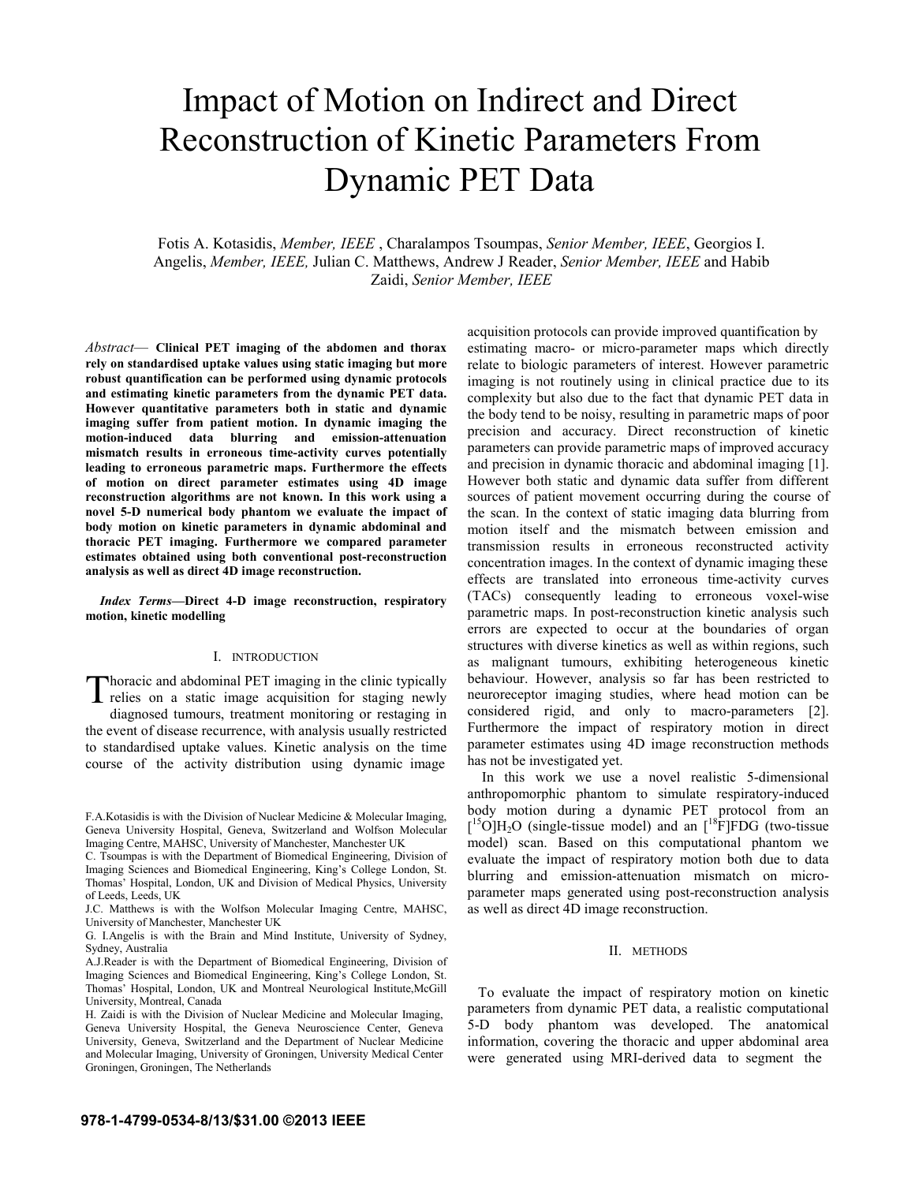# Impact of Motion on Indirect and Direct Reconstruction of Kinetic Parameters From Dynamic PET Data

Fotis A. Kotasidis, *Member, IEEE* , Charalampos Tsoumpas, *Senior Member, IEEE*, Georgios I. Angelis, *Member, IEEE,* Julian C. Matthews, Andrew J Reader, *Senior Member, IEEE* and Habib Zaidi, *Senior Member, IEEE*

*Abstract*— **Clinical PET imaging of the abdomen and thorax rely on standardised uptake values using static imaging but more robust quantification can be performed using dynamic protocols and estimating kinetic parameters from the dynamic PET data. However quantitative parameters both in static and dynamic imaging suffer from patient motion. In dynamic imaging the motion-induced data blurring and emission-attenuation mismatch results in erroneous time-activity curves potentially leading to erroneous parametric maps. Furthermore the effects of motion on direct parameter estimates using 4D image reconstruction algorithms are not known. In this work using a novel 5-D numerical body phantom we evaluate the impact of body motion on kinetic parameters in dynamic abdominal and thoracic PET imaging. Furthermore we compared parameter estimates obtained using both conventional post-reconstruction analysis as well as direct 4D image reconstruction.**

*Index Terms***—Direct 4-D image reconstruction, respiratory motion, kinetic modelling** 

# I. INTRODUCTION

horacic and abdominal PET imaging in the clinic typically Thoracic and abdominal PET imaging in the clinic typically relies on a static image acquisition for staging newly diagnosed tumours, treatment monitoring or restaging in the event of disease recurrence, with analysis usually restricted to standardised uptake values. Kinetic analysis on the time course of the activity distribution using dynamic image

acquisition protocols can provide improved quantification by estimating macro- or micro-parameter maps which directly relate to biologic parameters of interest. However parametric imaging is not routinely using in clinical practice due to its complexity but also due to the fact that dynamic PET data in the body tend to be noisy, resulting in parametric maps of poor precision and accuracy. Direct reconstruction of kinetic parameters can provide parametric maps of improved accuracy and precision in dynamic thoracic and abdominal imaging [1]. However both static and dynamic data suffer from different sources of patient movement occurring during the course of the scan. In the context of static imaging data blurring from motion itself and the mismatch between emission and transmission results in erroneous reconstructed activity concentration images. In the context of dynamic imaging these effects are translated into erroneous time-activity curves (TACs) consequently leading to erroneous voxel-wise parametric maps. In post-reconstruction kinetic analysis such errors are expected to occur at the boundaries of organ structures with diverse kinetics as well as within regions, such as malignant tumours, exhibiting heterogeneous kinetic behaviour. However, analysis so far has been restricted to neuroreceptor imaging studies, where head motion can be considered rigid, and only to macro-parameters [2]. Furthermore the impact of respiratory motion in direct parameter estimates using 4D image reconstruction methods has not be investigated yet.

 In this work we use a novel realistic 5-dimensional anthropomorphic phantom to simulate respiratory-induced body motion during a dynamic PET protocol from an  $[{}^{15}O]H_2O$  (single-tissue model) and an  $[{}^{18}F]FDG$  (two-tissue model) scan. Based on this computational phantom we evaluate the impact of respiratory motion both due to data blurring and emission-attenuation mismatch on microparameter maps generated using post-reconstruction analysis as well as direct 4D image reconstruction.

#### II. METHODS

 To evaluate the impact of respiratory motion on kinetic parameters from dynamic PET data, a realistic computational 5-D body phantom was developed. The anatomical information, covering the thoracic and upper abdominal area were generated using MRI-derived data to segment the

F.A.Kotasidis is with the Division of Nuclear Medicine & Molecular Imaging, Geneva University Hospital, Geneva, Switzerland and Wolfson Molecular Imaging Centre, MAHSC, University of Manchester, Manchester UK

C. Tsoumpas is with the Department of Biomedical Engineering, Division of Imaging Sciences and Biomedical Engineering, King's College London, St. Thomas' Hospital, London, UK and Division of Medical Physics, University of Leeds, Leeds, UK

J.C. Matthews is with the Wolfson Molecular Imaging Centre, MAHSC, University of Manchester, Manchester UK

G. I.Angelis is with the Brain and Mind Institute, University of Sydney, Sydney, Australia

A.J.Reader is with the Department of Biomedical Engineering, Division of Imaging Sciences and Biomedical Engineering, King's College London, St. Thomas' Hospital, London, UK and Montreal Neurological Institute,McGill University, Montreal, Canada

H. Zaidi is with the Division of Nuclear Medicine and Molecular Imaging, Geneva University Hospital, the Geneva Neuroscience Center, Geneva University, Geneva, Switzerland and the Department of Nuclear Medicine and Molecular Imaging, University of Groningen, University Medical Center Groningen, Groningen, The Netherlands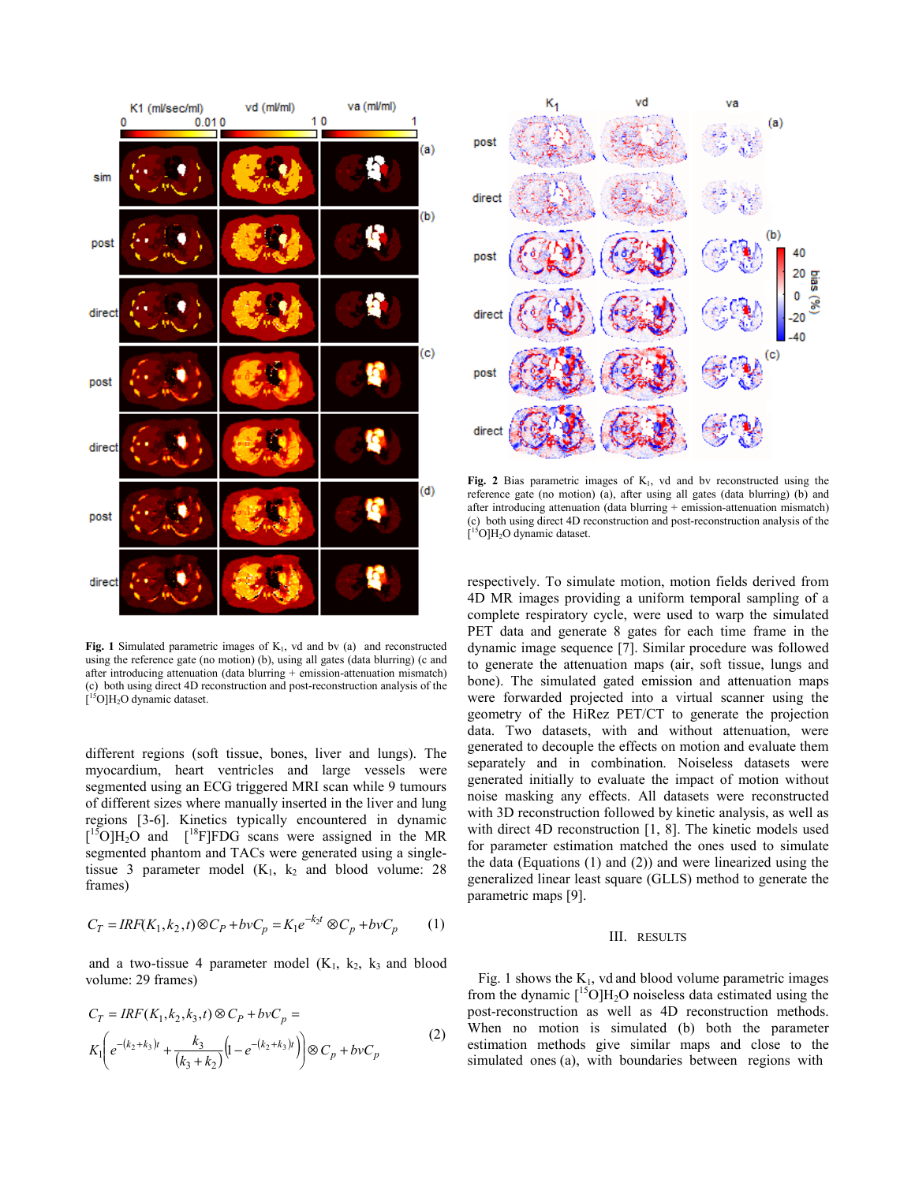

**Fig. 1** Simulated parametric images of  $K<sub>1</sub>$ , vd and bv (a) and reconstructed using the reference gate (no motion) (b), using all gates (data blurring) (c and after introducing attenuation (data blurring + emission-attenuation mismatch) (c) both using direct 4D reconstruction and post-reconstruction analysis of the  $[{}^{15}O]H_2O$  dynamic dataset.

different regions (soft tissue, bones, liver and lungs). The myocardium, heart ventricles and large vessels were segmented using an ECG triggered MRI scan while 9 tumours of different sizes where manually inserted in the liver and lung regions [3-6]. Kinetics typically encountered in dynamic  $[{}^{15}O]H_2O$  and  $[{}^{18}F]FDG$  scans were assigned in the MR segmented phantom and TACs were generated using a singletissue 3 parameter model  $(K_1, k_2)$  and blood volume: 28 frames)

$$
C_T = IRF(K_1, k_2, t) \otimes C_P + bvC_p = K_1 e^{-k_2 t} \otimes C_p + bvC_p \qquad (1)
$$

and a two-tissue 4 parameter model  $(K_1, k_2, k_3)$  and blood volume: 29 frames)

$$
C_T = IRF(K_1, k_2, k_3, t) \otimes C_P + bvC_p =
$$
  

$$
K_1 \bigg( e^{-(k_2 + k_3)t} + \frac{k_3}{(k_3 + k_2)} \bigg( 1 - e^{-(k_2 + k_3)t} \bigg) \bigg) \otimes C_p + bvC_p
$$
 (2)



**Fig. 2** Bias parametric images of  $K_1$ , vd and by reconstructed using the reference gate (no motion) (a), after using all gates (data blurring) (b) and after introducing attenuation (data blurring + emission-attenuation mismatch) (c) both using direct 4D reconstruction and post-reconstruction analysis of the  $[$ <sup>15</sup>O]H<sub>2</sub>O dynamic dataset.

respectively. To simulate motion, motion fields derived from 4D MR images providing a uniform temporal sampling of a complete respiratory cycle, were used to warp the simulated PET data and generate 8 gates for each time frame in the dynamic image sequence [7]. Similar procedure was followed to generate the attenuation maps (air, soft tissue, lungs and bone). The simulated gated emission and attenuation maps were forwarded projected into a virtual scanner using the geometry of the HiRez PET/CT to generate the projection data. Two datasets, with and without attenuation, were generated to decouple the effects on motion and evaluate them separately and in combination. Noiseless datasets were generated initially to evaluate the impact of motion without noise masking any effects. All datasets were reconstructed with 3D reconstruction followed by kinetic analysis, as well as with direct 4D reconstruction [1, 8]. The kinetic models used for parameter estimation matched the ones used to simulate the data (Equations (1) and (2)) and were linearized using the generalized linear least square (GLLS) method to generate the parametric maps [9].

## III. RESULTS

Fig. 1 shows the  $K_1$ , vd and blood volume parametric images from the dynamic  $\int_{0}^{15}$ O]H<sub>2</sub>O noiseless data estimated using the post-reconstruction as well as 4D reconstruction methods. When no motion is simulated (b) both the parameter estimation methods give similar maps and close to the simulated ones (a), with boundaries between regions with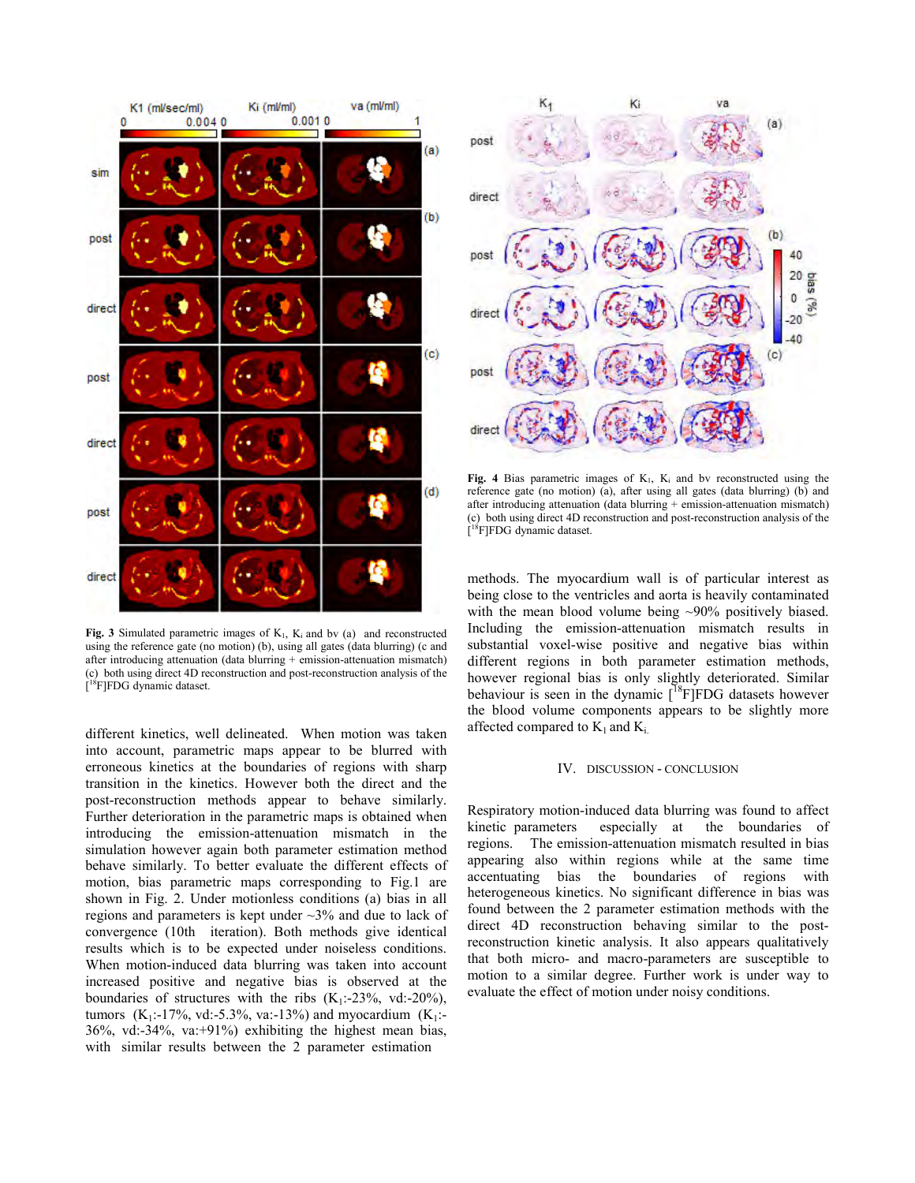

**Fig. 3** Simulated parametric images of  $K_1$ ,  $K_i$  and bv (a) and reconstructed using the reference gate (no motion) (b), using all gates (data blurring) (c and after introducing attenuation (data blurring  $+$  emission-attenuation mismatch) (c) both using direct 4D reconstruction and post-reconstruction analysis of the [<sup>18</sup>F]FDG dynamic dataset.

different kinetics, well delineated. When motion was taken into account, parametric maps appear to be blurred with erroneous kinetics at the boundaries of regions with sharp transition in the kinetics. However both the direct and the post-reconstruction methods appear to behave similarly. Further deterioration in the parametric maps is obtained when introducing the emission-attenuation mismatch in the simulation however again both parameter estimation method behave similarly. To better evaluate the different effects of motion, bias parametric maps corresponding to Fig.1 are shown in Fig. 2. Under motionless conditions (a) bias in all regions and parameters is kept under ~3% and due to lack of convergence (10th iteration). Both methods give identical results which is to be expected under noiseless conditions. When motion-induced data blurring was taken into account increased positive and negative bias is observed at the boundaries of structures with the ribs  $(K_1: -23\%), \text{ vd}:=20\%),$ tumors (K<sub>1</sub>:-17%, vd:-5.3%, va:-13%) and myocardium (K<sub>1</sub>:-36%, vd:-34%, va:+91%) exhibiting the highest mean bias, with similar results between the 2 parameter estimation



Fig. 4 Bias parametric images of  $K_1$ ,  $K_i$  and bv reconstructed using the reference gate (no motion) (a), after using all gates (data blurring) (b) and after introducing attenuation (data blurring + emission-attenuation mismatch) (c) both using direct 4D reconstruction and post-reconstruction analysis of the [<sup>18</sup>F]FDG dynamic dataset.

methods. The myocardium wall is of particular interest as being close to the ventricles and aorta is heavily contaminated with the mean blood volume being ~90% positively biased. Including the emission-attenuation mismatch results in substantial voxel-wise positive and negative bias within different regions in both parameter estimation methods, however regional bias is only slightly deteriorated. Similar behaviour is seen in the dynamic  $[$ <sup>18</sup>F]FDG datasets however the blood volume components appears to be slightly more affected compared to  $K_1$  and  $K_i$ .

#### IV. DISCUSSION - CONCLUSION

Respiratory motion-induced data blurring was found to affect kinetic parameters especially at the boundaries of regions. The emission-attenuation mismatch resulted in bias appearing also within regions while at the same time accentuating bias the boundaries of regions with heterogeneous kinetics. No significant difference in bias was found between the 2 parameter estimation methods with the direct 4D reconstruction behaving similar to the postreconstruction kinetic analysis. It also appears qualitatively that both micro- and macro-parameters are susceptible to motion to a similar degree. Further work is under way to evaluate the effect of motion under noisy conditions.